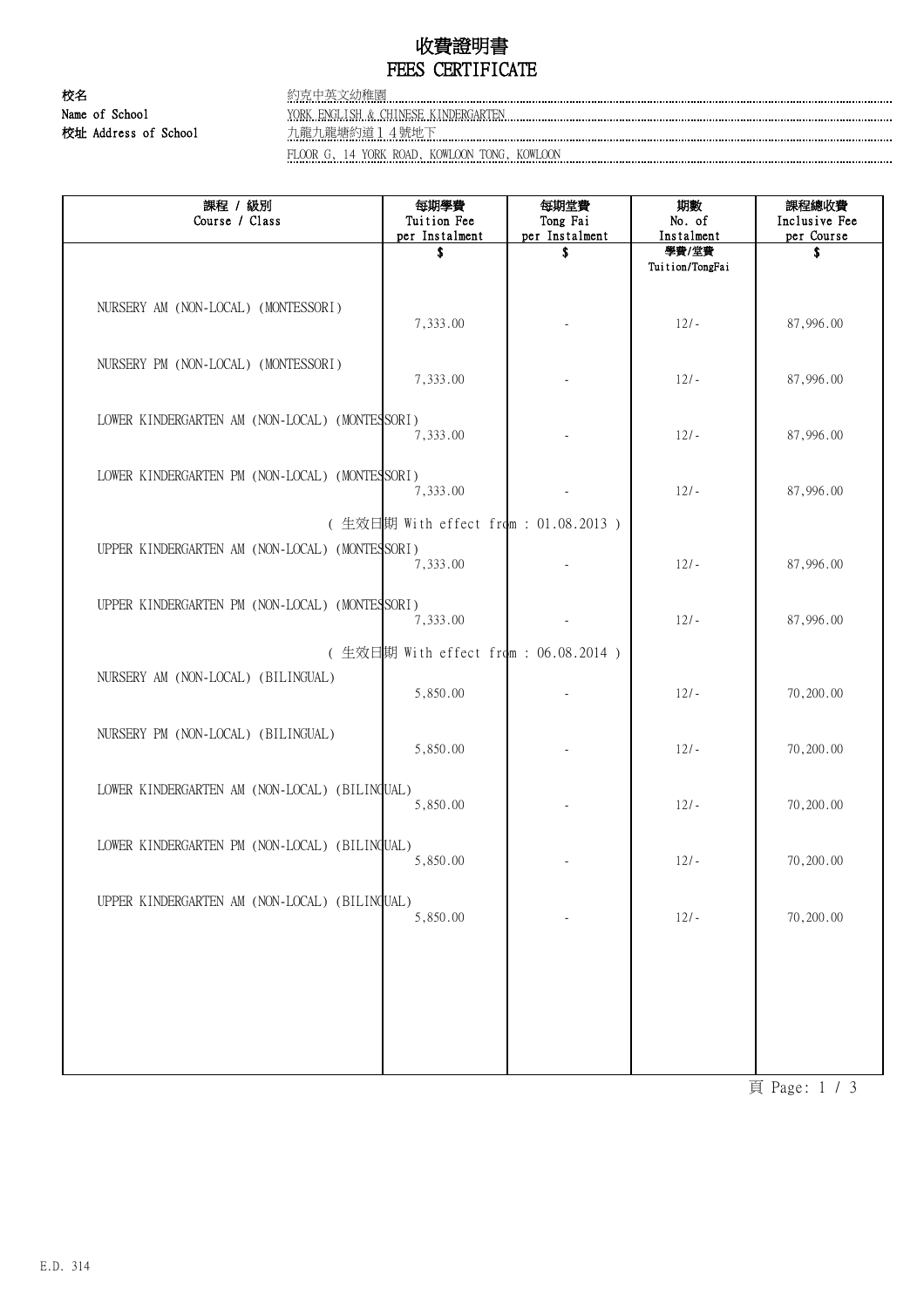## 收費證明書 FEES CERTIFICATE

校名 約克中英文幼稚園

Name of School YORK ENGLISH & CHINESE KINDERGARTEN 校址 Address of School <u>九龍九龍塘約道14號地下</u>

FLOOR G, 14 YORK ROAD, KOWLOON TONG, KOWLOON

| 課程 / 級別<br>Course / Class                      | 每期學費<br>Tuition Fee  | 每期堂費<br>Tong Fai    | 期數<br>No. of                           | 課程總收費<br>Inclusive Fee |  |  |  |
|------------------------------------------------|----------------------|---------------------|----------------------------------------|------------------------|--|--|--|
|                                                | per Instalment<br>\$ | per Instalment<br>S | Instalment<br>學費/堂費<br>Tuition/TongFai | per Course<br>S        |  |  |  |
| NURSERY AM (NON-LOCAL) (MONTESSORI)            | 7,333.00             |                     | $12/-$                                 | 87,996.00              |  |  |  |
| NURSERY PM (NON-LOCAL) (MONTESSORI)            | 7,333.00             |                     | $12/-$                                 | 87,996.00              |  |  |  |
| LOWER KINDERGARTEN AM (NON-LOCAL) (MONTESSORI) | 7,333.00             |                     | $12/-$                                 | 87,996.00              |  |  |  |
| LOWER KINDERGARTEN PM (NON-LOCAL) (MONTESSORI) | 7,333.00             |                     | $12/-$                                 | 87,996.00              |  |  |  |
| (生效日期 With effect from : 01.08.2013)           |                      |                     |                                        |                        |  |  |  |
| UPPER KINDERGARTEN AM (NON-LOCAL) (MONTESSORI) | 7,333.00             |                     | $12/-$                                 | 87,996.00              |  |  |  |
| UPPER KINDERGARTEN PM (NON-LOCAL) (MONTESSORI) | 7,333.00             |                     | $12/-$                                 | 87,996.00              |  |  |  |
| (生效日期 With effect from: 06.08.2014)            |                      |                     |                                        |                        |  |  |  |
| NURSERY AM (NON-LOCAL) (BILINGUAL)             | 5,850.00             |                     | $12/-$                                 | 70,200.00              |  |  |  |
| NURSERY PM (NON-LOCAL) (BILINGUAL)             | 5,850.00             |                     | $12/-$                                 | 70,200.00              |  |  |  |
| LOWER KINDERGARTEN AM (NON-LOCAL) (BILINGUAL)  | 5,850.00             |                     | $12/-$                                 | 70,200.00              |  |  |  |
| LOWER KINDERGARTEN PM (NON-LOCAL) (BILINGUAL)  | 5,850.00             |                     | $12/-$                                 | 70,200.00              |  |  |  |
| UPPER KINDERGARTEN AM (NON-LOCAL) (BILINQUAL)  | 5,850.00             |                     | $12/-$                                 | 70,200.00              |  |  |  |
|                                                |                      |                     |                                        |                        |  |  |  |
|                                                |                      |                     |                                        |                        |  |  |  |

頁 Page: 1 / 3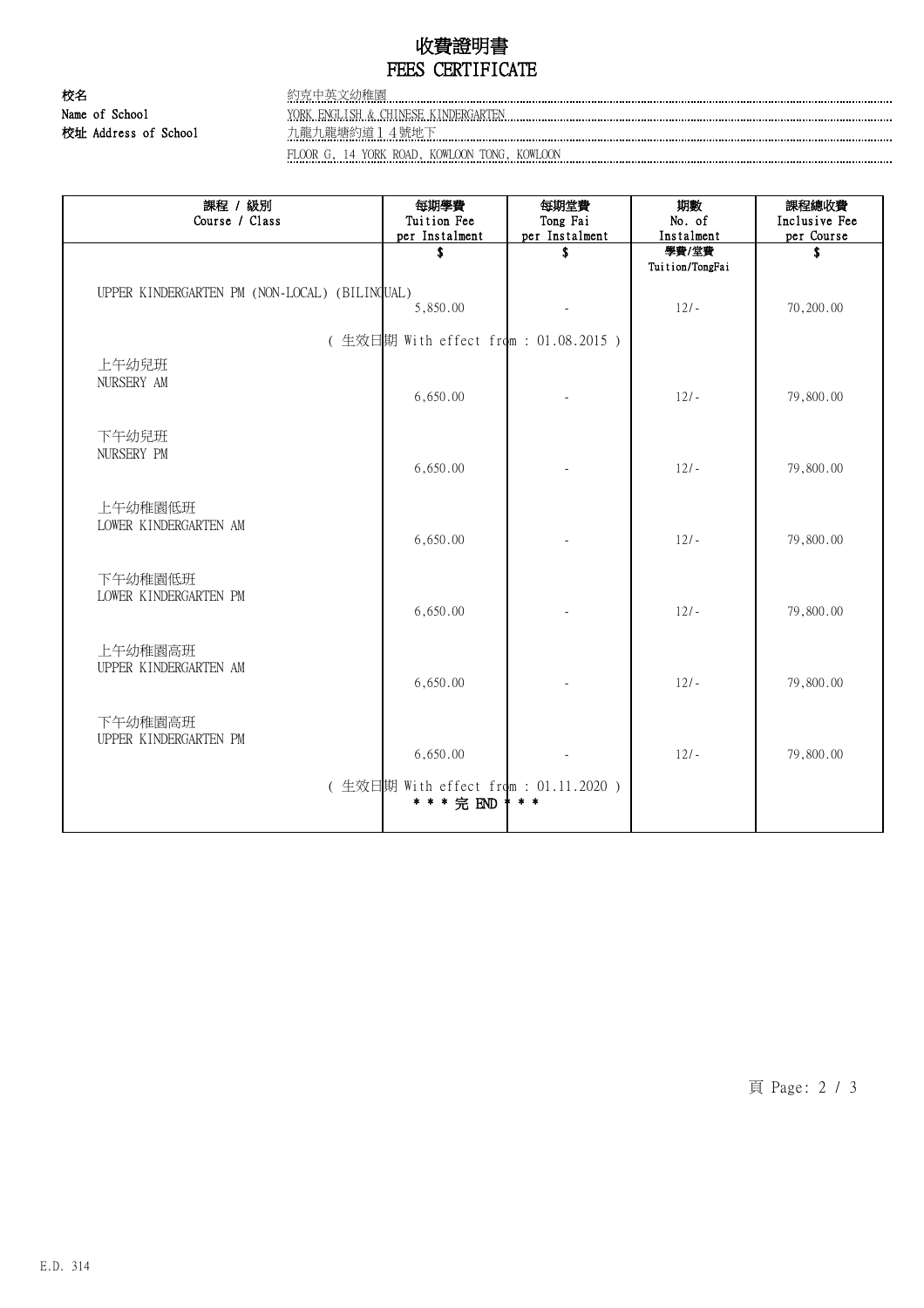### 收費證明書 FEES CERTIFICATE

校名 約克中英文幼稚園

Name of School YORK ENGLISH & CHINESE KINDERGARTEN 校址 Address of School 九龍九龍塘約道14號地下

FLOOR G, 14 YORK ROAD, KOWLOON TONG, KOWLOON

| 課程 / 級別<br>Course / Class                     | 每期學費<br>Tuition Fee<br>per Instalment                | 每期堂費<br>Tong Fai<br>per Instalment | 期數<br>No. of<br>Instalment | 課程總收費<br>Inclusive Fee<br>per Course |  |  |  |
|-----------------------------------------------|------------------------------------------------------|------------------------------------|----------------------------|--------------------------------------|--|--|--|
|                                               | \$                                                   | \$                                 | 學費/堂費<br>Tuition/TongFai   | S                                    |  |  |  |
| UPPER KINDERGARTEN PM (NON-LOCAL) (BILINGUAL) | 5,850.00                                             |                                    | $12/-$                     | 70,200.00                            |  |  |  |
| (生效日期 With effect from : 01.08.2015)          |                                                      |                                    |                            |                                      |  |  |  |
| 上午幼兒班<br>NURSERY AM                           | 6,650.00                                             |                                    | $12/-$                     | 79,800.00                            |  |  |  |
| 下午幼兒班<br>NURSERY PM                           | 6,650.00                                             |                                    | $12/-$                     | 79,800.00                            |  |  |  |
| 上午幼稚園低班<br>LOWER KINDERGARTEN AM              | 6,650.00                                             |                                    | $12/-$                     | 79,800.00                            |  |  |  |
| 下午幼稚園低班<br>LOWER KINDERGARTEN PM              | 6,650.00                                             |                                    | $12/-$                     | 79,800.00                            |  |  |  |
| 上午幼稚園高班<br>UPPER KINDERGARTEN AM              | 6,650.00                                             |                                    | $12/-$                     | 79,800.00                            |  |  |  |
| 下午幼稚園高班<br>UPPER KINDERGARTEN PM              | 6,650.00                                             |                                    | $12/-$                     | 79,800.00                            |  |  |  |
|                                               | (生效日期 With effect from : 01.11.2020 )<br>* * * 完 END | $* *$                              |                            |                                      |  |  |  |

頁 Page: 2 / 3